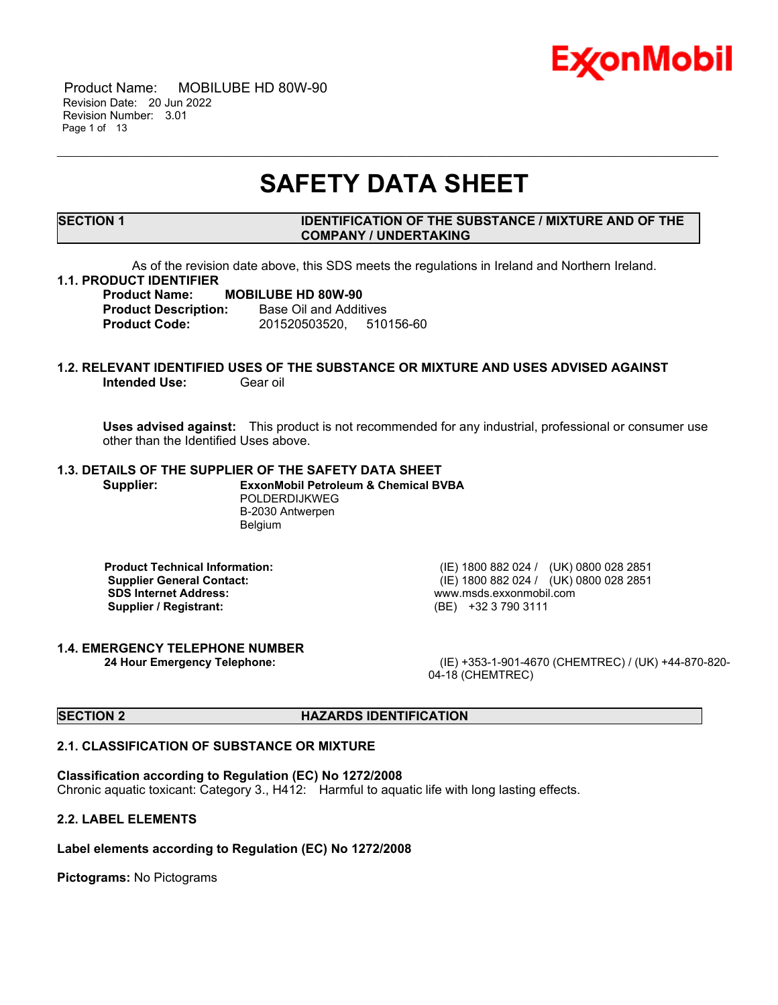

 Product Name: MOBILUBE HD 80W-90 Revision Date: 20 Jun 2022 Revision Number: 3.01 Page 1 of 13

## **SAFETY DATA SHEET**

\_\_\_\_\_\_\_\_\_\_\_\_\_\_\_\_\_\_\_\_\_\_\_\_\_\_\_\_\_\_\_\_\_\_\_\_\_\_\_\_\_\_\_\_\_\_\_\_\_\_\_\_\_\_\_\_\_\_\_\_\_\_\_\_\_\_\_\_\_\_\_\_\_\_\_\_\_\_\_\_\_\_\_\_\_\_\_\_\_\_\_\_\_\_\_\_\_\_\_\_\_\_\_\_\_\_\_\_\_\_\_\_\_\_\_\_\_

#### **SECTION 1 IDENTIFICATION OF THE SUBSTANCE / MIXTURE AND OF THE COMPANY / UNDERTAKING**

As of the revision date above, this SDS meets the regulations in Ireland and Northern Ireland.

#### **1.1. PRODUCT IDENTIFIER**

**Product Name: MOBILUBE HD 80W-90 Product Description:** Base Oil and Additives **Product Code:** 201520503520, 510156-60

### **1.2. RELEVANT IDENTIFIED USES OF THE SUBSTANCE OR MIXTURE AND USES ADVISED AGAINST Intended Use:** Gear oil

**Uses advised against:** This product is not recommended for any industrial, professional or consumer use other than the Identified Uses above.

### **1.3. DETAILS OF THE SUPPLIER OF THE SAFETY DATA SHEET**

**Supplier: ExxonMobil Petroleum & Chemical BVBA** POLDERDIJKWEG B-2030 Antwerpen Belgium

**Supplier / Registrant:** 

**Product Technical Information:** (IE) 1800 882 024 / (UK) 0800 028 2851 **Supplier General Contact:** (IE) 1800 882 024 / (UK) 0800 028 2851<br> **SDS Internet Address:** (IE) 1800 882 024 / (UK) 0800 028 2851 www.msds.exxonmobil.com<br>(BE) +32 3 790 3111

### **1.4. EMERGENCY TELEPHONE NUMBER**

**24 Hour Emergency Telephone:** (IE) +353-1-901-4670 (CHEMTREC) / (UK) +44-870-820- 04-18 (CHEMTREC)

#### **SECTION 2 HAZARDS IDENTIFICATION**

#### **2.1. CLASSIFICATION OF SUBSTANCE OR MIXTURE**

#### **Classification according to Regulation (EC) No 1272/2008**

Chronic aquatic toxicant: Category 3., H412: Harmful to aquatic life with long lasting effects.

#### **2.2. LABEL ELEMENTS**

#### **Label elements according to Regulation (EC) No 1272/2008**

**Pictograms:** No Pictograms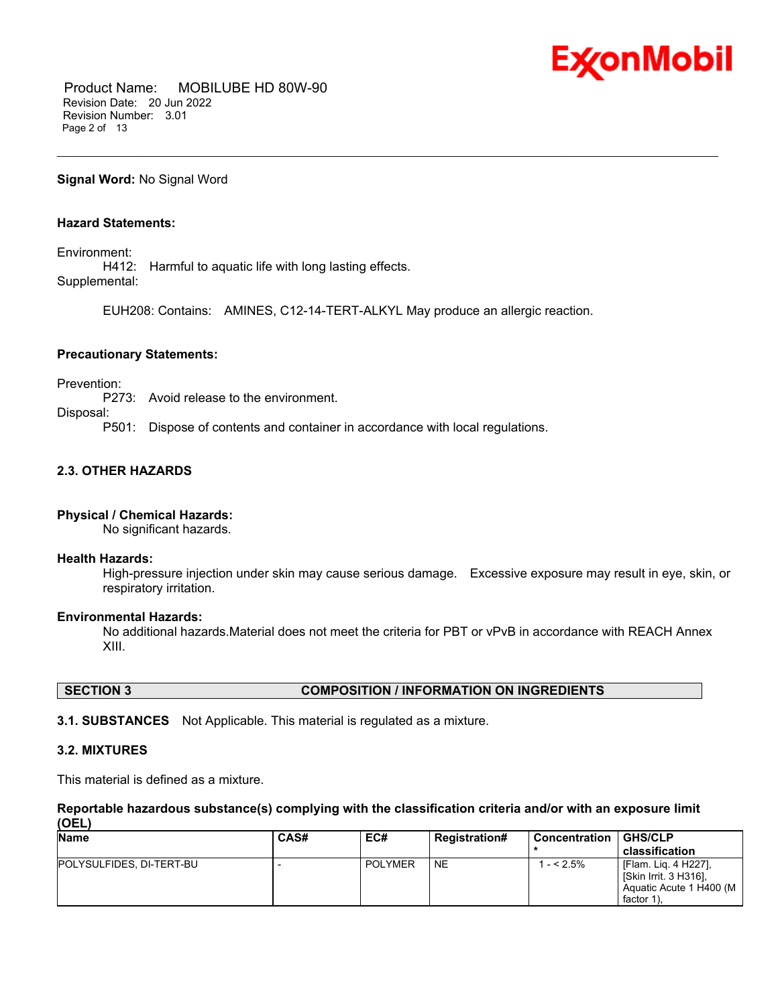

 Product Name: MOBILUBE HD 80W-90 Revision Date: 20 Jun 2022 Revision Number: 3.01 Page 2 of 13

#### **Signal Word:** No Signal Word

### **Hazard Statements:**

Environment:

H412: Harmful to aquatic life with long lasting effects. Supplemental:

EUH208: Contains: AMINES, C12-14-TERT-ALKYL May produce an allergic reaction.

\_\_\_\_\_\_\_\_\_\_\_\_\_\_\_\_\_\_\_\_\_\_\_\_\_\_\_\_\_\_\_\_\_\_\_\_\_\_\_\_\_\_\_\_\_\_\_\_\_\_\_\_\_\_\_\_\_\_\_\_\_\_\_\_\_\_\_\_\_\_\_\_\_\_\_\_\_\_\_\_\_\_\_\_\_\_\_\_\_\_\_\_\_\_\_\_\_\_\_\_\_\_\_\_\_\_\_\_\_\_\_\_\_\_\_\_\_

#### **Precautionary Statements:**

Prevention:

P273: Avoid release to the environment.

Disposal:

P501: Dispose of contents and container in accordance with local regulations.

### **2.3. OTHER HAZARDS**

#### **Physical / Chemical Hazards:**

No significant hazards.

#### **Health Hazards:**

High-pressure injection under skin may cause serious damage. Excessive exposure may result in eye, skin, or respiratory irritation.

#### **Environmental Hazards:**

No additional hazards.Material does not meet the criteria for PBT or vPvB in accordance with REACH Annex XIII.

#### **SECTION 3 COMPOSITION / INFORMATION ON INGREDIENTS**

**3.1. SUBSTANCES** Not Applicable. This material is regulated as a mixture.

#### **3.2. MIXTURES**

This material is defined as a mixture.

#### **Reportable hazardous substance(s) complying with the classification criteria and/or with an exposure limit (OEL)**

| <b>Name</b>              | <b>CAS#</b> | EC#            | <b>Registration#</b> | l Concentration | GHS/CLP<br>classification                                                                 |
|--------------------------|-------------|----------------|----------------------|-----------------|-------------------------------------------------------------------------------------------|
| POLYSULFIDES, DI-TERT-BU |             | <b>POLYMER</b> | <b>NE</b>            | $- < 2.5\%$     | I [Flam. Lig. 4 H227],<br>  [Skin Irrit. 3 H316],<br>Aquatic Acute 1 H400 (M<br>factor 1) |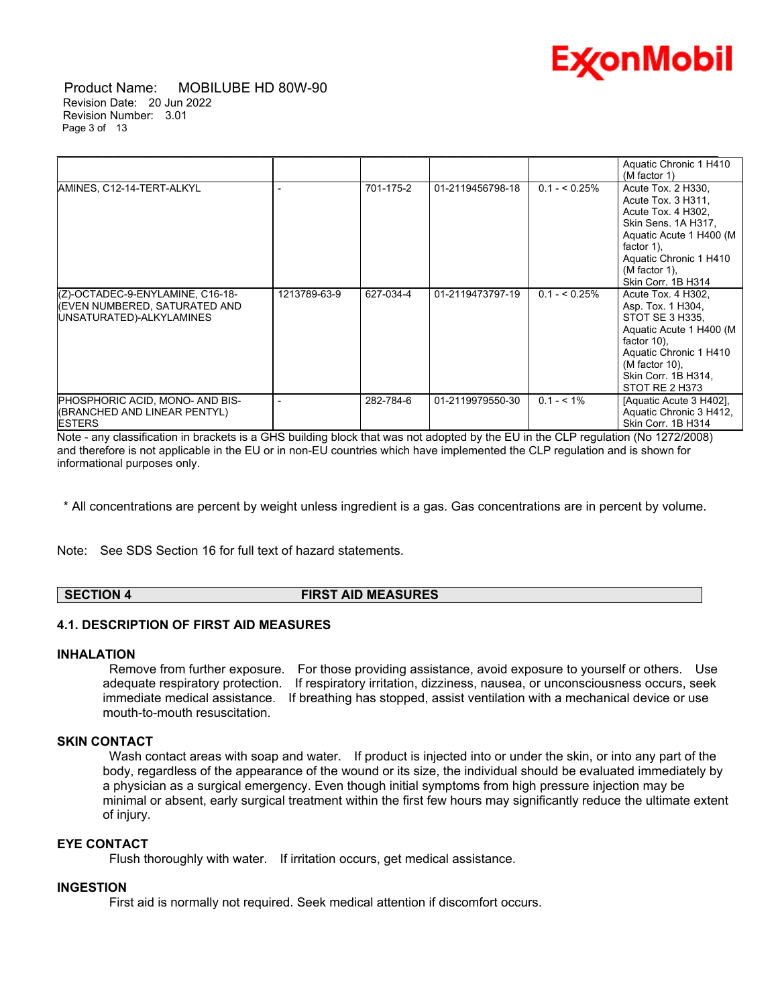

 Product Name: MOBILUBE HD 80W-90 Revision Date: 20 Jun 2022 Revision Number: 3.01 Page 3 of 13

|                                                                                               |              |           |                  |                | Aquatic Chronic 1 H410<br>(M factor 1)                                                                                                                                                             |
|-----------------------------------------------------------------------------------------------|--------------|-----------|------------------|----------------|----------------------------------------------------------------------------------------------------------------------------------------------------------------------------------------------------|
| AMINES, C12-14-TERT-ALKYL                                                                     |              | 701-175-2 | 01-2119456798-18 | $0.1 - 5.25\%$ | Acute Tox. 2 H330,<br>Acute Tox. 3 H311,<br>Acute Tox. 4 H302,<br>Skin Sens. 1A H317,<br>Aquatic Acute 1 H400 (M<br>factor 1).<br>Aquatic Chronic 1 H410<br>$(M factor 1)$ ,<br>Skin Corr. 1B H314 |
| (Z)-OCTADEC-9-ENYLAMINE, C16-18-<br>(EVEN NUMBERED, SATURATED AND<br>UNSATURATED)-ALKYLAMINES | 1213789-63-9 | 627-034-4 | 01-2119473797-19 | $0.1 - 5.25\%$ | Acute Tox. 4 H302,<br>Asp. Tox. 1 H304,<br>STOT SE 3 H335,<br>Aquatic Acute 1 H400 (M<br>factor $10$ ),<br>Aquatic Chronic 1 H410<br>(M factor 10).<br>Skin Corr. 1B H314,<br>STOT RE 2 H373       |
| PHOSPHORIC ACID, MONO- AND BIS-<br>(BRANCHED AND LINEAR PENTYL)<br><b>ESTERS</b>              |              | 282-784-6 | 01-2119979550-30 | $0.1 - 5.1\%$  | [Aquatic Acute 3 H402],<br>Aquatic Chronic 3 H412,<br>Skin Corr. 1B H314                                                                                                                           |

Note - any classification in brackets is a GHS building block that was not adopted by the EU in the CLP regulation (No 1272/2008) and therefore is not applicable in the EU or in non-EU countries which have implemented the CLP regulation and is shown for informational purposes only.

\* All concentrations are percent by weight unless ingredient is a gas. Gas concentrations are in percent by volume.

Note: See SDS Section 16 for full text of hazard statements.

**SECTION 4 FIRST AID MEASURES**

#### **4.1. DESCRIPTION OF FIRST AID MEASURES**

#### **INHALATION**

Remove from further exposure. For those providing assistance, avoid exposure to yourself or others. Use adequate respiratory protection. If respiratory irritation, dizziness, nausea, or unconsciousness occurs, seek immediate medical assistance. If breathing has stopped, assist ventilation with a mechanical device or use mouth-to-mouth resuscitation.

### **SKIN CONTACT**

Wash contact areas with soap and water. If product is injected into or under the skin, or into any part of the body, regardless of the appearance of the wound or its size, the individual should be evaluated immediately by a physician as a surgical emergency. Even though initial symptoms from high pressure injection may be minimal or absent, early surgical treatment within the first few hours may significantly reduce the ultimate extent of injury.

#### **EYE CONTACT**

Flush thoroughly with water. If irritation occurs, get medical assistance.

#### **INGESTION**

First aid is normally not required. Seek medical attention if discomfort occurs.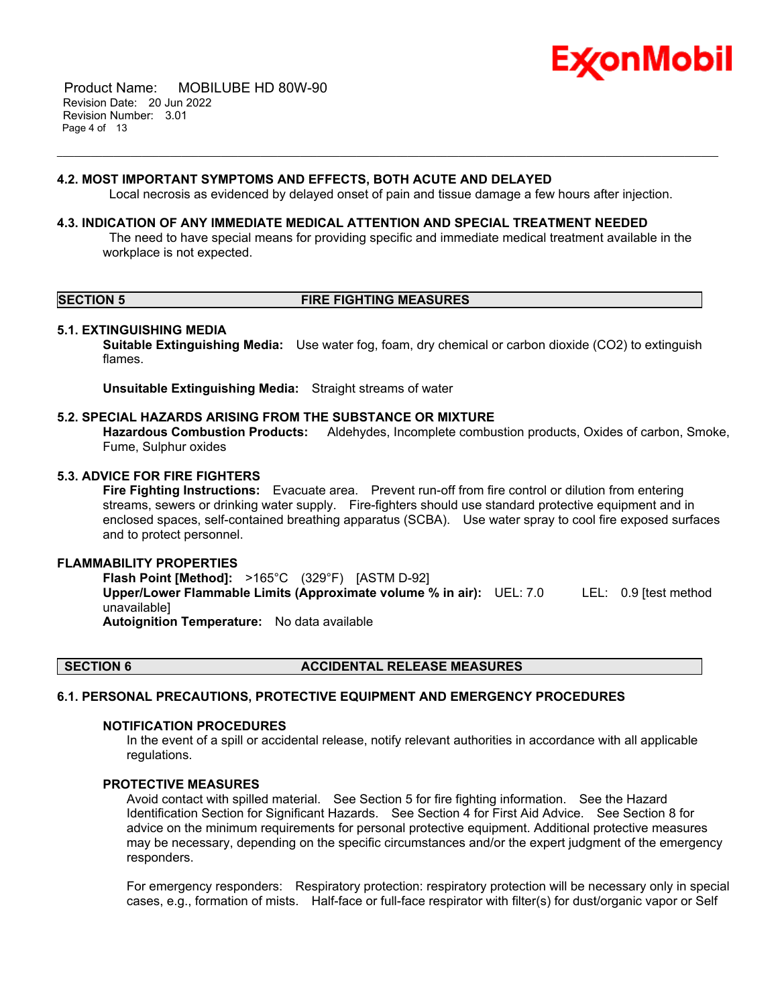

 Product Name: MOBILUBE HD 80W-90 Revision Date: 20 Jun 2022 Revision Number: 3.01 Page 4 of 13

#### **4.2. MOST IMPORTANT SYMPTOMS AND EFFECTS, BOTH ACUTE AND DELAYED**

Local necrosis as evidenced by delayed onset of pain and tissue damage a few hours after injection.

\_\_\_\_\_\_\_\_\_\_\_\_\_\_\_\_\_\_\_\_\_\_\_\_\_\_\_\_\_\_\_\_\_\_\_\_\_\_\_\_\_\_\_\_\_\_\_\_\_\_\_\_\_\_\_\_\_\_\_\_\_\_\_\_\_\_\_\_\_\_\_\_\_\_\_\_\_\_\_\_\_\_\_\_\_\_\_\_\_\_\_\_\_\_\_\_\_\_\_\_\_\_\_\_\_\_\_\_\_\_\_\_\_\_\_\_\_

#### **4.3. INDICATION OF ANY IMMEDIATE MEDICAL ATTENTION AND SPECIAL TREATMENT NEEDED**

The need to have special means for providing specific and immediate medical treatment available in the workplace is not expected.

#### **SECTION 5 FIRE FIGHTING MEASURES**

#### **5.1. EXTINGUISHING MEDIA**

**Suitable Extinguishing Media:** Use water fog, foam, dry chemical or carbon dioxide (CO2) to extinguish flames.

**Unsuitable Extinguishing Media:** Straight streams of water

#### **5.2. SPECIAL HAZARDS ARISING FROM THE SUBSTANCE OR MIXTURE**

**Hazardous Combustion Products:** Aldehydes, Incomplete combustion products, Oxides of carbon, Smoke, Fume, Sulphur oxides

#### **5.3. ADVICE FOR FIRE FIGHTERS**

**Fire Fighting Instructions:** Evacuate area. Prevent run-off from fire control or dilution from entering streams, sewers or drinking water supply. Fire-fighters should use standard protective equipment and in enclosed spaces, self-contained breathing apparatus (SCBA). Use water spray to cool fire exposed surfaces and to protect personnel.

#### **FLAMMABILITY PROPERTIES**

**Flash Point [Method]:** >165°C (329°F) [ASTM D-92] **Upper/Lower Flammable Limits (Approximate volume % in air):** UEL: 7.0 LEL: 0.9 [test method unavailable] **Autoignition Temperature:** No data available

#### **SECTION 6 ACCIDENTAL RELEASE MEASURES**

#### **6.1. PERSONAL PRECAUTIONS, PROTECTIVE EQUIPMENT AND EMERGENCY PROCEDURES**

#### **NOTIFICATION PROCEDURES**

In the event of a spill or accidental release, notify relevant authorities in accordance with all applicable regulations.

#### **PROTECTIVE MEASURES**

Avoid contact with spilled material. See Section 5 for fire fighting information. See the Hazard Identification Section for Significant Hazards. See Section 4 for First Aid Advice. See Section 8 for advice on the minimum requirements for personal protective equipment. Additional protective measures may be necessary, depending on the specific circumstances and/or the expert judgment of the emergency responders.

For emergency responders: Respiratory protection: respiratory protection will be necessary only in special cases, e.g., formation of mists. Half-face or full-face respirator with filter(s) for dust/organic vapor or Self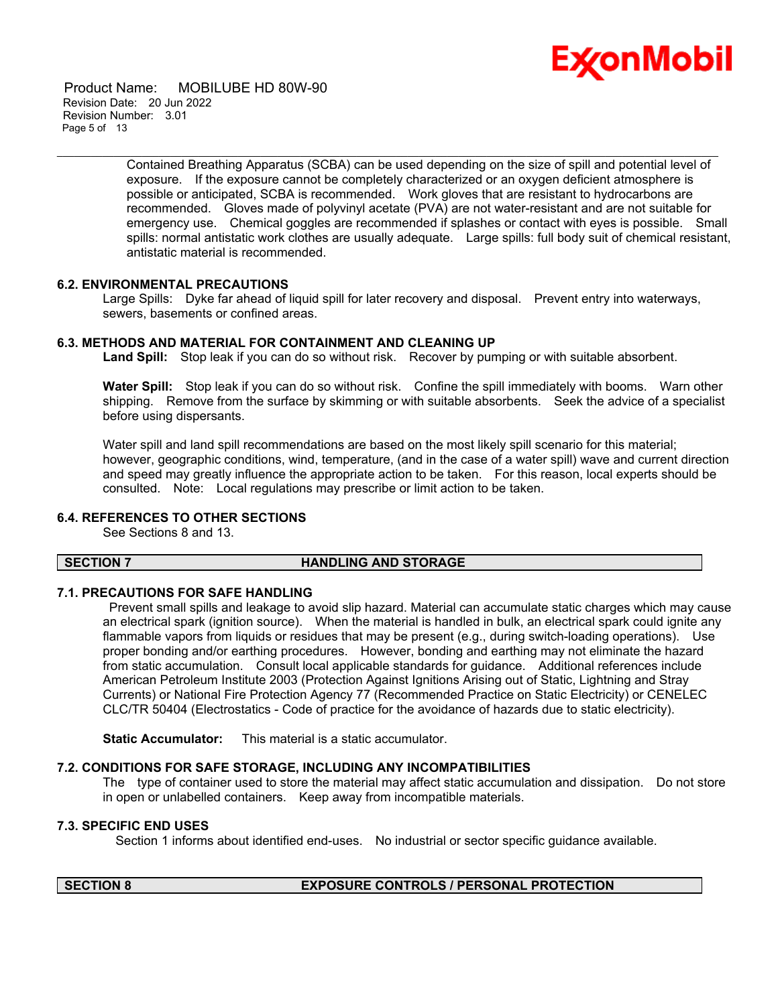

 Product Name: MOBILUBE HD 80W-90 Revision Date: 20 Jun 2022 Revision Number: 3.01 Page 5 of 13

> Contained Breathing Apparatus (SCBA) can be used depending on the size of spill and potential level of exposure. If the exposure cannot be completely characterized or an oxygen deficient atmosphere is possible or anticipated, SCBA is recommended. Work gloves that are resistant to hydrocarbons are recommended. Gloves made of polyvinyl acetate (PVA) are not water-resistant and are not suitable for emergency use. Chemical goggles are recommended if splashes or contact with eyes is possible. Small spills: normal antistatic work clothes are usually adequate. Large spills: full body suit of chemical resistant, antistatic material is recommended.

#### **6.2. ENVIRONMENTAL PRECAUTIONS**

Large Spills: Dyke far ahead of liquid spill for later recovery and disposal. Prevent entry into waterways, sewers, basements or confined areas.

#### **6.3. METHODS AND MATERIAL FOR CONTAINMENT AND CLEANING UP**

**Land Spill:** Stop leak if you can do so without risk. Recover by pumping or with suitable absorbent.

\_\_\_\_\_\_\_\_\_\_\_\_\_\_\_\_\_\_\_\_\_\_\_\_\_\_\_\_\_\_\_\_\_\_\_\_\_\_\_\_\_\_\_\_\_\_\_\_\_\_\_\_\_\_\_\_\_\_\_\_\_\_\_\_\_\_\_\_\_\_\_\_\_\_\_\_\_\_\_\_\_\_\_\_\_\_\_\_\_\_\_\_\_\_\_\_\_\_\_\_\_\_\_\_\_\_\_\_\_\_\_\_\_\_\_\_\_

**Water Spill:** Stop leak if you can do so without risk. Confine the spill immediately with booms. Warn other shipping. Remove from the surface by skimming or with suitable absorbents. Seek the advice of a specialist before using dispersants.

Water spill and land spill recommendations are based on the most likely spill scenario for this material; however, geographic conditions, wind, temperature, (and in the case of a water spill) wave and current direction and speed may greatly influence the appropriate action to be taken. For this reason, local experts should be consulted. Note: Local regulations may prescribe or limit action to be taken.

#### **6.4. REFERENCES TO OTHER SECTIONS**

See Sections 8 and 13.

#### **SECTION 7 HANDLING AND STORAGE**

#### **7.1. PRECAUTIONS FOR SAFE HANDLING**

Prevent small spills and leakage to avoid slip hazard. Material can accumulate static charges which may cause an electrical spark (ignition source). When the material is handled in bulk, an electrical spark could ignite any flammable vapors from liquids or residues that may be present (e.g., during switch-loading operations). Use proper bonding and/or earthing procedures. However, bonding and earthing may not eliminate the hazard from static accumulation. Consult local applicable standards for guidance. Additional references include American Petroleum Institute 2003 (Protection Against Ignitions Arising out of Static, Lightning and Stray Currents) or National Fire Protection Agency 77 (Recommended Practice on Static Electricity) or CENELEC CLC/TR 50404 (Electrostatics - Code of practice for the avoidance of hazards due to static electricity).

**Static Accumulator:** This material is a static accumulator.

#### **7.2. CONDITIONS FOR SAFE STORAGE, INCLUDING ANY INCOMPATIBILITIES**

The type of container used to store the material may affect static accumulation and dissipation. Do not store in open or unlabelled containers. Keep away from incompatible materials.

#### **7.3. SPECIFIC END USES**

Section 1 informs about identified end-uses. No industrial or sector specific guidance available.

#### **SECTION 8 EXPOSURE CONTROLS / PERSONAL PROTECTION**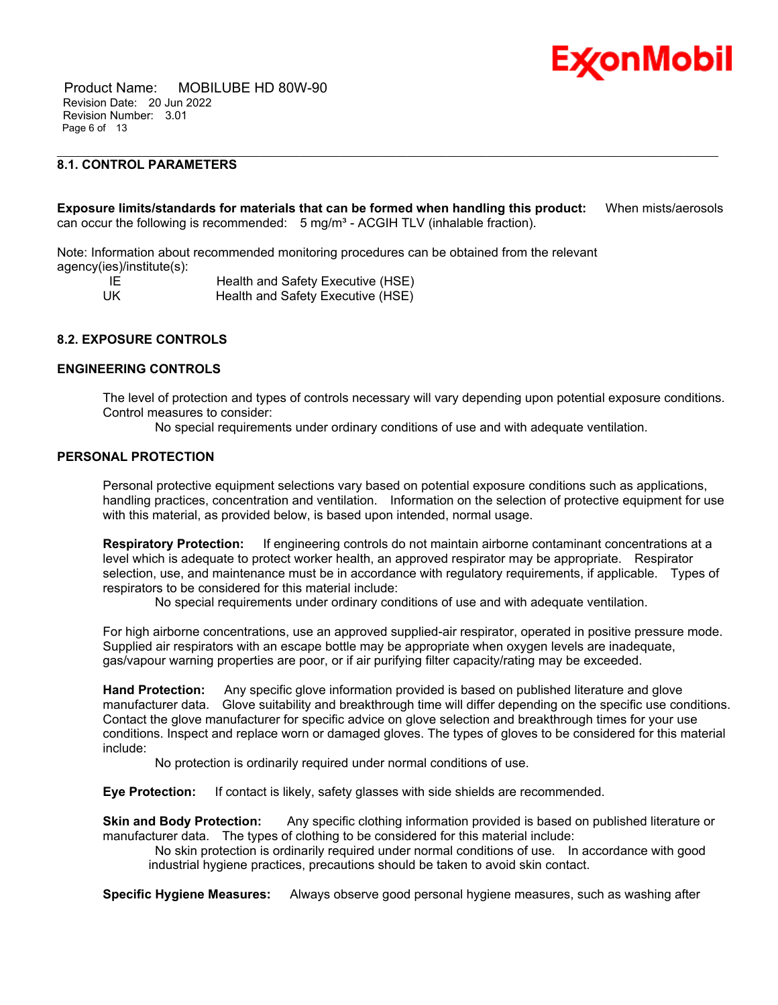

 Product Name: MOBILUBE HD 80W-90 Revision Date: 20 Jun 2022 Revision Number: 3.01 Page 6 of 13

### **8.1. CONTROL PARAMETERS**

**Exposure limits/standards for materials that can be formed when handling this product:** When mists/aerosols can occur the following is recommended:  $5 \text{ mg/m}^3$  - ACGIH TLV (inhalable fraction).

\_\_\_\_\_\_\_\_\_\_\_\_\_\_\_\_\_\_\_\_\_\_\_\_\_\_\_\_\_\_\_\_\_\_\_\_\_\_\_\_\_\_\_\_\_\_\_\_\_\_\_\_\_\_\_\_\_\_\_\_\_\_\_\_\_\_\_\_\_\_\_\_\_\_\_\_\_\_\_\_\_\_\_\_\_\_\_\_\_\_\_\_\_\_\_\_\_\_\_\_\_\_\_\_\_\_\_\_\_\_\_\_\_\_\_\_\_

Note: Information about recommended monitoring procedures can be obtained from the relevant agency(ies)/institute(s):

IE Health and Safety Executive (HSE) UK Health and Safety Executive (HSE)

#### **8.2. EXPOSURE CONTROLS**

#### **ENGINEERING CONTROLS**

The level of protection and types of controls necessary will vary depending upon potential exposure conditions. Control measures to consider:

No special requirements under ordinary conditions of use and with adequate ventilation.

#### **PERSONAL PROTECTION**

Personal protective equipment selections vary based on potential exposure conditions such as applications, handling practices, concentration and ventilation. Information on the selection of protective equipment for use with this material, as provided below, is based upon intended, normal usage.

**Respiratory Protection:** If engineering controls do not maintain airborne contaminant concentrations at a level which is adequate to protect worker health, an approved respirator may be appropriate. Respirator selection, use, and maintenance must be in accordance with regulatory requirements, if applicable. Types of respirators to be considered for this material include:

No special requirements under ordinary conditions of use and with adequate ventilation.

For high airborne concentrations, use an approved supplied-air respirator, operated in positive pressure mode. Supplied air respirators with an escape bottle may be appropriate when oxygen levels are inadequate, gas/vapour warning properties are poor, or if air purifying filter capacity/rating may be exceeded.

**Hand Protection:** Any specific glove information provided is based on published literature and glove manufacturer data. Glove suitability and breakthrough time will differ depending on the specific use conditions. Contact the glove manufacturer for specific advice on glove selection and breakthrough times for your use conditions. Inspect and replace worn or damaged gloves. The types of gloves to be considered for this material include:

No protection is ordinarily required under normal conditions of use.

**Eye Protection:** If contact is likely, safety glasses with side shields are recommended.

**Skin and Body Protection:** Any specific clothing information provided is based on published literature or manufacturer data. The types of clothing to be considered for this material include:

No skin protection is ordinarily required under normal conditions of use. In accordance with good industrial hygiene practices, precautions should be taken to avoid skin contact.

**Specific Hygiene Measures:** Always observe good personal hygiene measures, such as washing after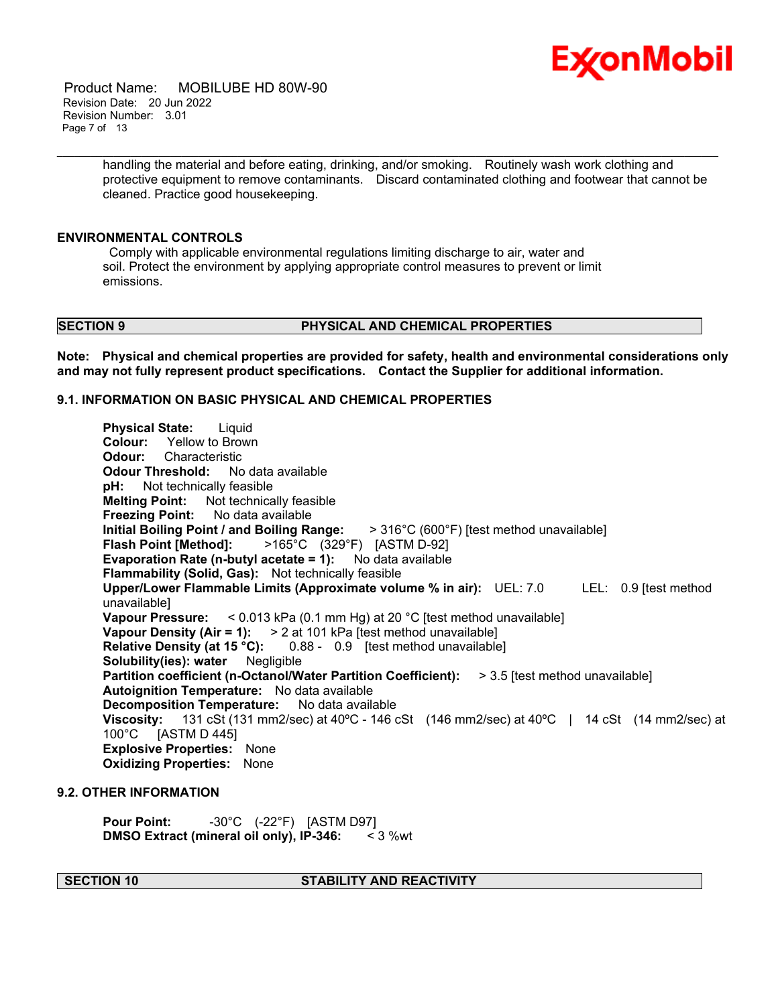

 Product Name: MOBILUBE HD 80W-90 Revision Date: 20 Jun 2022 Revision Number: 3.01 Page 7 of 13

> handling the material and before eating, drinking, and/or smoking. Routinely wash work clothing and protective equipment to remove contaminants. Discard contaminated clothing and footwear that cannot be cleaned. Practice good housekeeping.

\_\_\_\_\_\_\_\_\_\_\_\_\_\_\_\_\_\_\_\_\_\_\_\_\_\_\_\_\_\_\_\_\_\_\_\_\_\_\_\_\_\_\_\_\_\_\_\_\_\_\_\_\_\_\_\_\_\_\_\_\_\_\_\_\_\_\_\_\_\_\_\_\_\_\_\_\_\_\_\_\_\_\_\_\_\_\_\_\_\_\_\_\_\_\_\_\_\_\_\_\_\_\_\_\_\_\_\_\_\_\_\_\_\_\_\_\_

#### **ENVIRONMENTAL CONTROLS**

Comply with applicable environmental regulations limiting discharge to air, water and soil. Protect the environment by applying appropriate control measures to prevent or limit emissions.

#### **SECTION 9 PHYSICAL AND CHEMICAL PROPERTIES**

**Note: Physical and chemical properties are provided for safety, health and environmental considerations only and may not fully represent product specifications. Contact the Supplier for additional information.**

### **9.1. INFORMATION ON BASIC PHYSICAL AND CHEMICAL PROPERTIES**

**Physical State:** Liquid **Colour:** Yellow to Brown **Odour:** Characteristic **Odour Threshold:** No data available **pH:** Not technically feasible **Melting Point:** Not technically feasible **Freezing Point:** No data available **Initial Boiling Point / and Boiling Range:** > 316°C (600°F) [test method unavailable] **Flash Point [Method]:** >165°C (329°F) [ASTM D-92] **Evaporation Rate (n-butyl acetate = 1):** No data available **Flammability (Solid, Gas):** Not technically feasible **Upper/Lower Flammable Limits (Approximate volume % in air):** UEL: 7.0 LEL: 0.9 [test method unavailable] **Vapour Pressure:** < 0.013 kPa (0.1 mm Hg) at 20 °C [test method unavailable] **Vapour Density (Air = 1):** > 2 at 101 kPa [test method unavailable] **Relative Density (at 15 °C):** 0.88 - 0.9 [test method unavailable] **Solubility(ies): water** Negligible **Partition coefficient (n-Octanol/Water Partition Coefficient):** > 3.5 [test method unavailable] **Autoignition Temperature:** No data available **Decomposition Temperature:** No data available **Viscosity:** 131 cSt (131 mm2/sec) at 40ºC - 146 cSt (146 mm2/sec) at 40ºC | 14 cSt (14 mm2/sec) at 100°C [ASTM D 445] **Explosive Properties:** None **Oxidizing Properties:** None

#### **9.2. OTHER INFORMATION**

**Pour Point:** -30°C (-22°F) [ASTM D97] **DMSO Extract (mineral oil only), IP-346:** < 3 %wt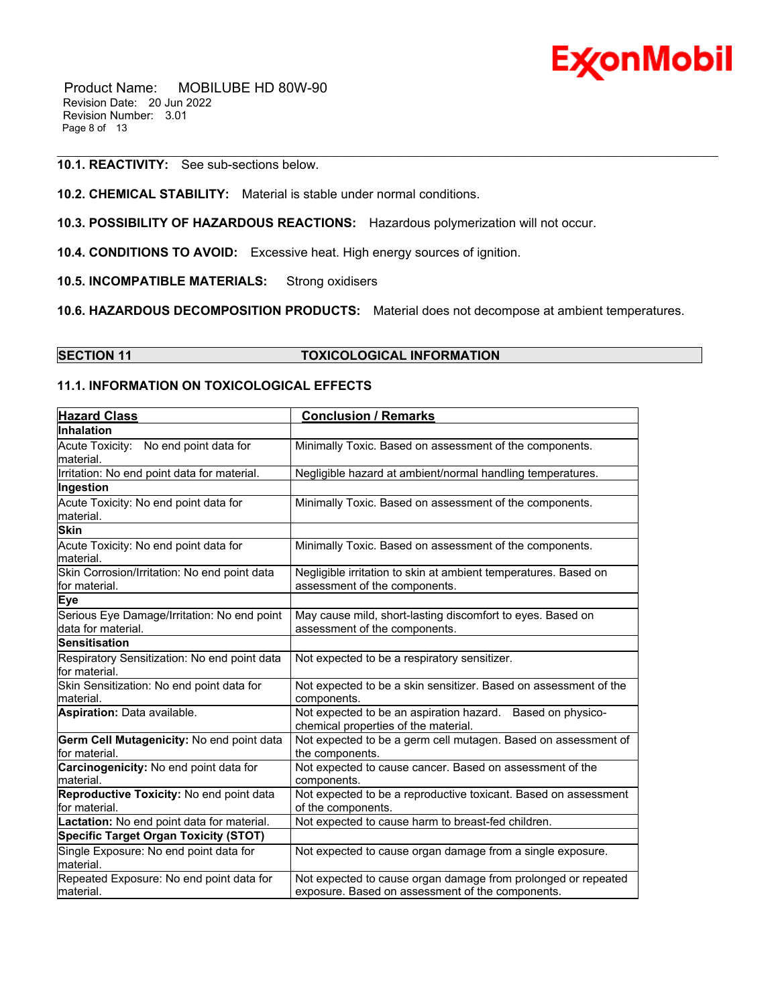

 Product Name: MOBILUBE HD 80W-90 Revision Date: 20 Jun 2022 Revision Number: 3.01 Page 8 of 13

#### **10.1. REACTIVITY:** See sub-sections below.

- **10.2. CHEMICAL STABILITY:** Material is stable under normal conditions.
- **10.3. POSSIBILITY OF HAZARDOUS REACTIONS:** Hazardous polymerization will not occur.
- **10.4. CONDITIONS TO AVOID:** Excessive heat. High energy sources of ignition.
- **10.5. INCOMPATIBLE MATERIALS:** Strong oxidisers
- **10.6. HAZARDOUS DECOMPOSITION PRODUCTS:** Material does not decompose at ambient temperatures.

\_\_\_\_\_\_\_\_\_\_\_\_\_\_\_\_\_\_\_\_\_\_\_\_\_\_\_\_\_\_\_\_\_\_\_\_\_\_\_\_\_\_\_\_\_\_\_\_\_\_\_\_\_\_\_\_\_\_\_\_\_\_\_\_\_\_\_\_\_\_\_\_\_\_\_\_\_\_\_\_\_\_\_\_\_\_\_\_\_\_\_\_\_\_\_\_\_\_\_\_\_\_\_\_\_\_\_\_\_\_\_\_\_\_\_\_\_

**SECTION 11 TOXICOLOGICAL INFORMATION**

#### **11.1. INFORMATION ON TOXICOLOGICAL EFFECTS**

| <b>Hazard Class</b>                                               | <b>Conclusion / Remarks</b>                                                                                       |
|-------------------------------------------------------------------|-------------------------------------------------------------------------------------------------------------------|
| <b>Inhalation</b>                                                 |                                                                                                                   |
| Acute Toxicity: No end point data for<br>material.                | Minimally Toxic. Based on assessment of the components.                                                           |
| Irritation: No end point data for material.                       | Negligible hazard at ambient/normal handling temperatures.                                                        |
| Ingestion                                                         |                                                                                                                   |
| Acute Toxicity: No end point data for<br>material.                | Minimally Toxic. Based on assessment of the components.                                                           |
| <b>Skin</b>                                                       |                                                                                                                   |
| Acute Toxicity: No end point data for<br>material.                | Minimally Toxic. Based on assessment of the components.                                                           |
| Skin Corrosion/Irritation: No end point data<br>for material.     | Negligible irritation to skin at ambient temperatures. Based on<br>assessment of the components.                  |
| <b>Eye</b>                                                        |                                                                                                                   |
| Serious Eye Damage/Irritation: No end point<br>data for material. | May cause mild, short-lasting discomfort to eyes. Based on<br>assessment of the components.                       |
| <b>Sensitisation</b>                                              |                                                                                                                   |
| Respiratory Sensitization: No end point data<br>for material.     | Not expected to be a respiratory sensitizer.                                                                      |
| Skin Sensitization: No end point data for<br>material.            | Not expected to be a skin sensitizer. Based on assessment of the<br>components.                                   |
| Aspiration: Data available.                                       | Not expected to be an aspiration hazard. Based on physico-<br>chemical properties of the material.                |
| Germ Cell Mutagenicity: No end point data<br>for material.        | Not expected to be a germ cell mutagen. Based on assessment of<br>the components.                                 |
| Carcinogenicity: No end point data for<br>material.               | Not expected to cause cancer. Based on assessment of the<br>components.                                           |
| Reproductive Toxicity: No end point data<br>for material.         | Not expected to be a reproductive toxicant. Based on assessment<br>of the components.                             |
| Lactation: No end point data for material.                        | Not expected to cause harm to breast-fed children.                                                                |
| <b>Specific Target Organ Toxicity (STOT)</b>                      |                                                                                                                   |
| Single Exposure: No end point data for<br>material.               | Not expected to cause organ damage from a single exposure.                                                        |
| Repeated Exposure: No end point data for<br>material.             | Not expected to cause organ damage from prolonged or repeated<br>exposure. Based on assessment of the components. |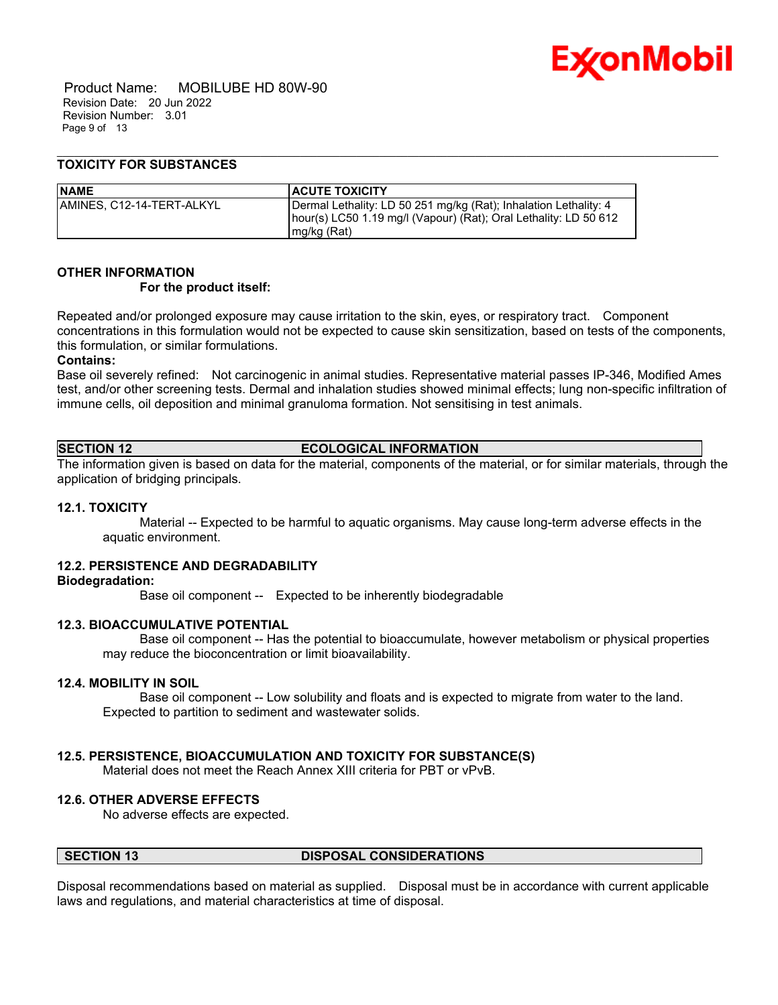

 Product Name: MOBILUBE HD 80W-90 Revision Date: 20 Jun 2022 Revision Number: 3.01 Page 9 of 13

#### **TOXICITY FOR SUBSTANCES**

| <b>NAME</b>                | <b>ACUTE TOXICITY</b>                                                                                                                                 |
|----------------------------|-------------------------------------------------------------------------------------------------------------------------------------------------------|
| IAMINES. C12-14-TERT-ALKYL | Dermal Lethality: LD 50 251 mg/kg (Rat); Inhalation Lethality: 4<br>hour(s) LC50 1.19 mg/l (Vapour) (Rat); Oral Lethality: LD 50 612<br>$mg/kg$ (Rat) |

#### **OTHER INFORMATION**

#### **For the product itself:**

Repeated and/or prolonged exposure may cause irritation to the skin, eyes, or respiratory tract. Component concentrations in this formulation would not be expected to cause skin sensitization, based on tests of the components, this formulation, or similar formulations.

\_\_\_\_\_\_\_\_\_\_\_\_\_\_\_\_\_\_\_\_\_\_\_\_\_\_\_\_\_\_\_\_\_\_\_\_\_\_\_\_\_\_\_\_\_\_\_\_\_\_\_\_\_\_\_\_\_\_\_\_\_\_\_\_\_\_\_\_\_\_\_\_\_\_\_\_\_\_\_\_\_\_\_\_\_\_\_\_\_\_\_\_\_\_\_\_\_\_\_\_\_\_\_\_\_\_\_\_\_\_\_\_\_\_\_\_\_

#### **Contains:**

Base oil severely refined: Not carcinogenic in animal studies. Representative material passes IP-346, Modified Ames test, and/or other screening tests. Dermal and inhalation studies showed minimal effects; lung non-specific infiltration of immune cells, oil deposition and minimal granuloma formation. Not sensitising in test animals.

### **SECTION 12 ECOLOGICAL INFORMATION**

The information given is based on data for the material, components of the material, or for similar materials, through the application of bridging principals.

#### **12.1. TOXICITY**

 Material -- Expected to be harmful to aquatic organisms. May cause long-term adverse effects in the aquatic environment.

#### **12.2. PERSISTENCE AND DEGRADABILITY**

#### **Biodegradation:**

Base oil component -- Expected to be inherently biodegradable

#### **12.3. BIOACCUMULATIVE POTENTIAL**

 Base oil component -- Has the potential to bioaccumulate, however metabolism or physical properties may reduce the bioconcentration or limit bioavailability.

#### **12.4. MOBILITY IN SOIL**

 Base oil component -- Low solubility and floats and is expected to migrate from water to the land. Expected to partition to sediment and wastewater solids.

#### **12.5. PERSISTENCE, BIOACCUMULATION AND TOXICITY FOR SUBSTANCE(S)**

Material does not meet the Reach Annex XIII criteria for PBT or vPvB.

#### **12.6. OTHER ADVERSE EFFECTS**

No adverse effects are expected.

#### **SECTION 13 DISPOSAL CONSIDERATIONS**

Disposal recommendations based on material as supplied. Disposal must be in accordance with current applicable laws and regulations, and material characteristics at time of disposal.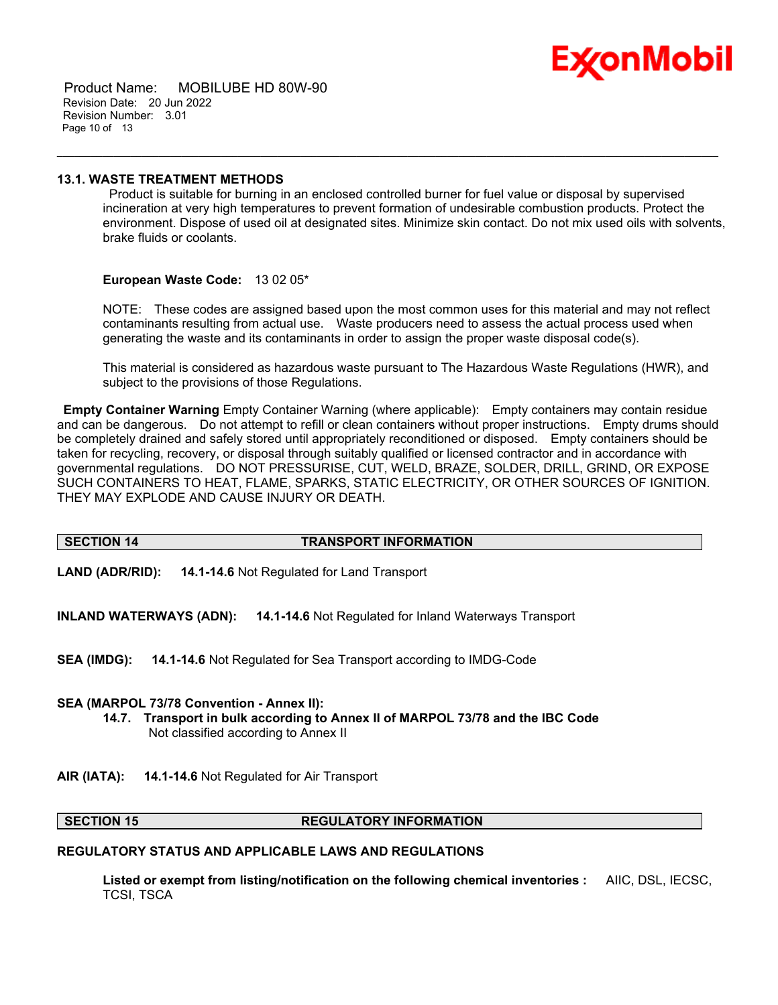

 Product Name: MOBILUBE HD 80W-90 Revision Date: 20 Jun 2022 Revision Number: 3.01 Page 10 of 13

#### **13.1. WASTE TREATMENT METHODS**

Product is suitable for burning in an enclosed controlled burner for fuel value or disposal by supervised incineration at very high temperatures to prevent formation of undesirable combustion products. Protect the environment. Dispose of used oil at designated sites. Minimize skin contact. Do not mix used oils with solvents, brake fluids or coolants.

\_\_\_\_\_\_\_\_\_\_\_\_\_\_\_\_\_\_\_\_\_\_\_\_\_\_\_\_\_\_\_\_\_\_\_\_\_\_\_\_\_\_\_\_\_\_\_\_\_\_\_\_\_\_\_\_\_\_\_\_\_\_\_\_\_\_\_\_\_\_\_\_\_\_\_\_\_\_\_\_\_\_\_\_\_\_\_\_\_\_\_\_\_\_\_\_\_\_\_\_\_\_\_\_\_\_\_\_\_\_\_\_\_\_\_\_\_

#### **European Waste Code:** 13 02 05\*

NOTE: These codes are assigned based upon the most common uses for this material and may not reflect contaminants resulting from actual use. Waste producers need to assess the actual process used when generating the waste and its contaminants in order to assign the proper waste disposal code(s).

This material is considered as hazardous waste pursuant to The Hazardous Waste Regulations (HWR), and subject to the provisions of those Regulations.

**Empty Container Warning** Empty Container Warning (where applicable): Empty containers may contain residue and can be dangerous. Do not attempt to refill or clean containers without proper instructions. Empty drums should be completely drained and safely stored until appropriately reconditioned or disposed. Empty containers should be taken for recycling, recovery, or disposal through suitably qualified or licensed contractor and in accordance with governmental regulations. DO NOT PRESSURISE, CUT, WELD, BRAZE, SOLDER, DRILL, GRIND, OR EXPOSE SUCH CONTAINERS TO HEAT, FLAME, SPARKS, STATIC ELECTRICITY, OR OTHER SOURCES OF IGNITION. THEY MAY EXPLODE AND CAUSE INJURY OR DEATH.

### **SECTION 14 TRANSPORT INFORMATION**

**LAND (ADR/RID): 14.1-14.6** Not Regulated for Land Transport

**INLAND WATERWAYS (ADN): 14.1-14.6** Not Regulated for Inland Waterways Transport

**SEA (IMDG): 14.1-14.6** Not Regulated for Sea Transport according to IMDG-Code

#### **SEA (MARPOL 73/78 Convention - Annex II):**

- **14.7. Transport in bulk according to Annex II of MARPOL 73/78 and the IBC Code** Not classified according to Annex II
- **AIR (IATA): 14.1-14.6** Not Regulated for Air Transport

#### **SECTION 15 REGULATORY INFORMATION**

#### **REGULATORY STATUS AND APPLICABLE LAWS AND REGULATIONS**

**Listed or exempt from listing/notification on the following chemical inventories :** AIIC, DSL, IECSC, TCSI, TSCA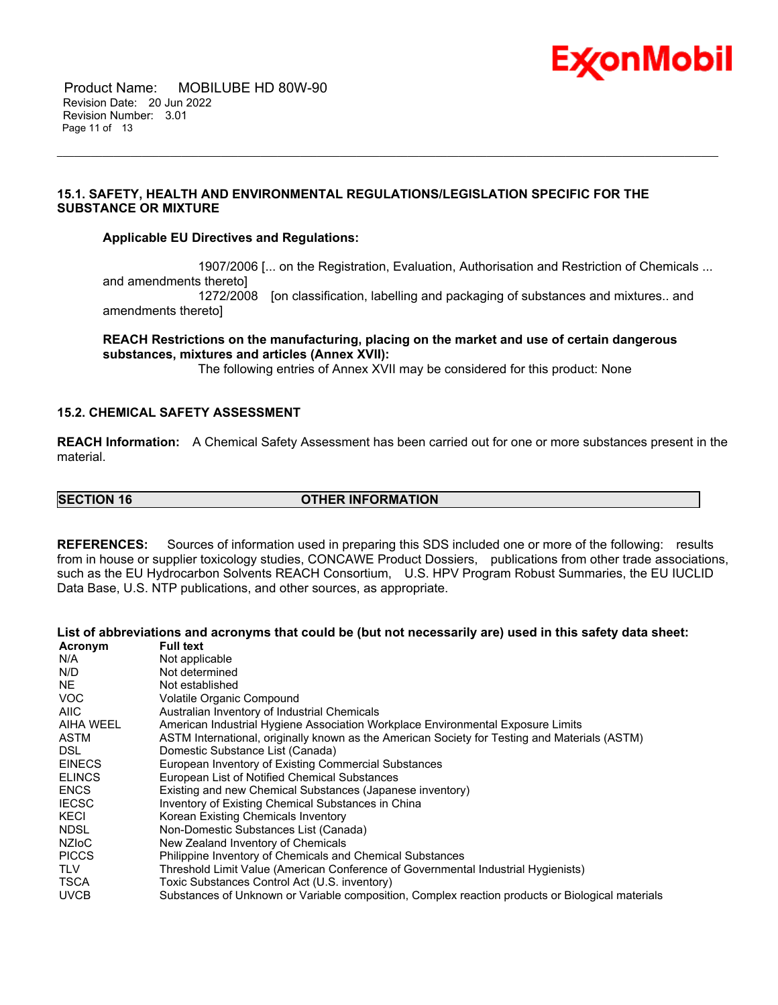

 Product Name: MOBILUBE HD 80W-90 Revision Date: 20 Jun 2022 Revision Number: 3.01 Page 11 of 13

### **15.1. SAFETY, HEALTH AND ENVIRONMENTAL REGULATIONS/LEGISLATION SPECIFIC FOR THE SUBSTANCE OR MIXTURE**

#### **Applicable EU Directives and Regulations:**

 1907/2006 [... on the Registration, Evaluation, Authorisation and Restriction of Chemicals ... and amendments thereto] 1272/2008 [on classification, labelling and packaging of substances and mixtures.. and amendments thereto]

### **REACH Restrictions on the manufacturing, placing on the market and use of certain dangerous substances, mixtures and articles (Annex XVII):**

\_\_\_\_\_\_\_\_\_\_\_\_\_\_\_\_\_\_\_\_\_\_\_\_\_\_\_\_\_\_\_\_\_\_\_\_\_\_\_\_\_\_\_\_\_\_\_\_\_\_\_\_\_\_\_\_\_\_\_\_\_\_\_\_\_\_\_\_\_\_\_\_\_\_\_\_\_\_\_\_\_\_\_\_\_\_\_\_\_\_\_\_\_\_\_\_\_\_\_\_\_\_\_\_\_\_\_\_\_\_\_\_\_\_\_\_\_

The following entries of Annex XVII may be considered for this product: None

#### **15.2. CHEMICAL SAFETY ASSESSMENT**

**REACH Information:** A Chemical Safety Assessment has been carried out for one or more substances present in the material.

### **SECTION 16 OTHER INFORMATION**

**REFERENCES:** Sources of information used in preparing this SDS included one or more of the following: results from in house or supplier toxicology studies, CONCAWE Product Dossiers, publications from other trade associations, such as the EU Hydrocarbon Solvents REACH Consortium, U.S. HPV Program Robust Summaries, the EU IUCLID Data Base, U.S. NTP publications, and other sources, as appropriate.

#### List of abbreviations and acronyms that could be (but not necessarily are) used in this safety data sheet:

| Acronym       | <b>Full text</b>                                                                                 |
|---------------|--------------------------------------------------------------------------------------------------|
| N/A           | Not applicable                                                                                   |
| N/D           | Not determined                                                                                   |
| NE.           | Not established                                                                                  |
| VOC.          | Volatile Organic Compound                                                                        |
| AIIC          | Australian Inventory of Industrial Chemicals                                                     |
| AIHA WEEL     | American Industrial Hygiene Association Workplace Environmental Exposure Limits                  |
| ASTM          | ASTM International, originally known as the American Society for Testing and Materials (ASTM)    |
| DSL.          | Domestic Substance List (Canada)                                                                 |
| <b>EINECS</b> | European Inventory of Existing Commercial Substances                                             |
| <b>ELINCS</b> | European List of Notified Chemical Substances                                                    |
| <b>ENCS</b>   | Existing and new Chemical Substances (Japanese inventory)                                        |
| <b>IECSC</b>  | Inventory of Existing Chemical Substances in China                                               |
| KECI          | Korean Existing Chemicals Inventory                                                              |
| <b>NDSL</b>   | Non-Domestic Substances List (Canada)                                                            |
| <b>NZIOC</b>  | New Zealand Inventory of Chemicals                                                               |
| <b>PICCS</b>  | Philippine Inventory of Chemicals and Chemical Substances                                        |
| <b>TLV</b>    | Threshold Limit Value (American Conference of Governmental Industrial Hygienists)                |
| <b>TSCA</b>   | Toxic Substances Control Act (U.S. inventory)                                                    |
| <b>UVCB</b>   | Substances of Unknown or Variable composition, Complex reaction products or Biological materials |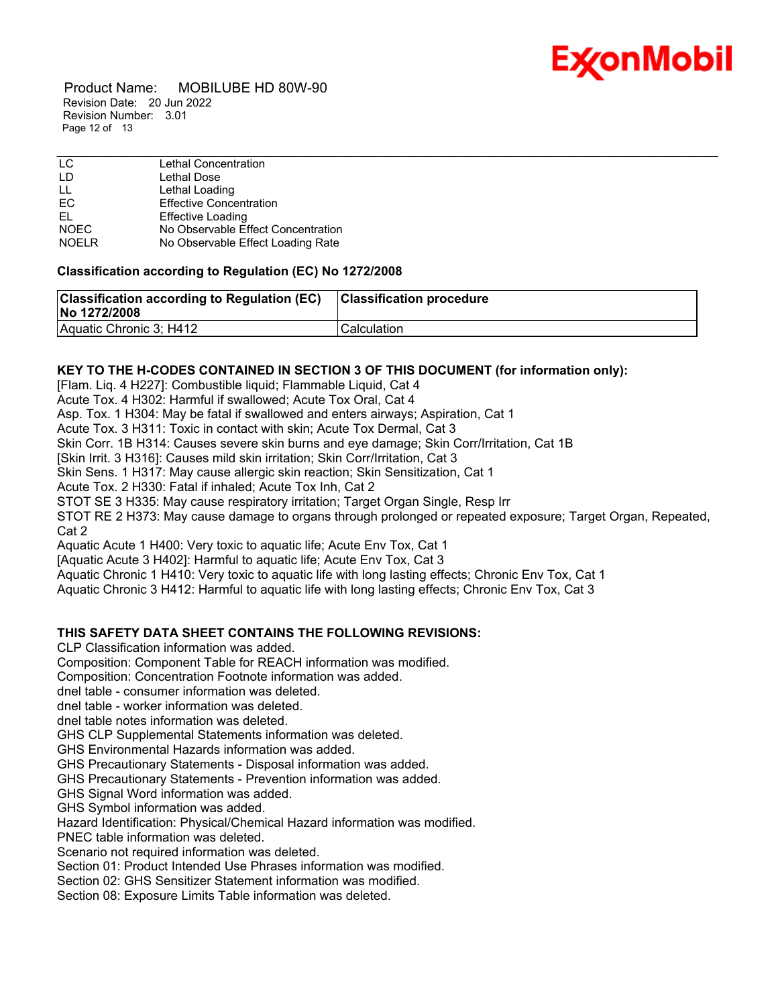

 Product Name: MOBILUBE HD 80W-90 Revision Date: 20 Jun 2022 Revision Number: 3.01 Page 12 of 13

| LC.          | Lethal Concentration               |
|--------------|------------------------------------|
| LD           | Lethal Dose                        |
| LL           | Lethal Loading                     |
| EC           | <b>Effective Concentration</b>     |
| EL.          | <b>Effective Loading</b>           |
| <b>NOEC</b>  | No Observable Effect Concentration |
| <b>NOELR</b> | No Observable Effect Loading Rate  |

#### **Classification according to Regulation (EC) No 1272/2008**

| <b>Classification according to Regulation (EC)</b><br>No 1272/2008 | <b>Classification procedure</b> |
|--------------------------------------------------------------------|---------------------------------|
| Aquatic Chronic 3; H412                                            | <b>Calculation</b>              |

#### **KEY TO THE H-CODES CONTAINED IN SECTION 3 OF THIS DOCUMENT (for information only):**

[Flam. Liq. 4 H227]: Combustible liquid; Flammable Liquid, Cat 4

Acute Tox. 4 H302: Harmful if swallowed; Acute Tox Oral, Cat 4

Asp. Tox. 1 H304: May be fatal if swallowed and enters airways; Aspiration, Cat 1

Acute Tox. 3 H311: Toxic in contact with skin; Acute Tox Dermal, Cat 3

Skin Corr. 1B H314: Causes severe skin burns and eye damage; Skin Corr/Irritation, Cat 1B

[Skin Irrit. 3 H316]: Causes mild skin irritation; Skin Corr/Irritation, Cat 3

Skin Sens. 1 H317: May cause allergic skin reaction; Skin Sensitization, Cat 1

Acute Tox. 2 H330: Fatal if inhaled; Acute Tox Inh, Cat 2

STOT SE 3 H335: May cause respiratory irritation; Target Organ Single, Resp Irr

STOT RE 2 H373: May cause damage to organs through prolonged or repeated exposure; Target Organ, Repeated, Cat 2

Aquatic Acute 1 H400: Very toxic to aquatic life; Acute Env Tox, Cat 1

[Aquatic Acute 3 H402]: Harmful to aquatic life; Acute Env Tox, Cat 3

Aquatic Chronic 1 H410: Very toxic to aquatic life with long lasting effects; Chronic Env Tox, Cat 1

Aquatic Chronic 3 H412: Harmful to aquatic life with long lasting effects; Chronic Env Tox, Cat 3

#### **THIS SAFETY DATA SHEET CONTAINS THE FOLLOWING REVISIONS:**

CLP Classification information was added.

Composition: Component Table for REACH information was modified.

Composition: Concentration Footnote information was added.

dnel table - consumer information was deleted.

dnel table - worker information was deleted.

dnel table notes information was deleted.

GHS CLP Supplemental Statements information was deleted.

GHS Environmental Hazards information was added.

GHS Precautionary Statements - Disposal information was added.

GHS Precautionary Statements - Prevention information was added.

GHS Signal Word information was added.

GHS Symbol information was added.

Hazard Identification: Physical/Chemical Hazard information was modified.

PNEC table information was deleted.

Scenario not required information was deleted.

Section 01: Product Intended Use Phrases information was modified.

Section 02: GHS Sensitizer Statement information was modified.

Section 08: Exposure Limits Table information was deleted.